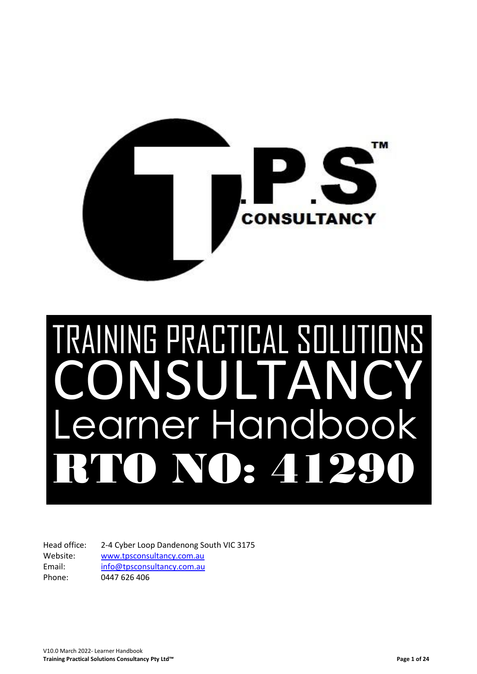

# TRAINING PRACTICAL SOLUTIONS INSULTAN Learner Handbook RTO NO: 41290

Head office: 2-4 Cyber Loop Dandenong South VIC 3175 Website: [www.tpsconsultancy.com.au](http://www.tpsconsultancy.com.au/) Email: [info@tpsconsultancy.com.au](mailto:info@tpsconsultancy.com.au) Phone: 0447 626 406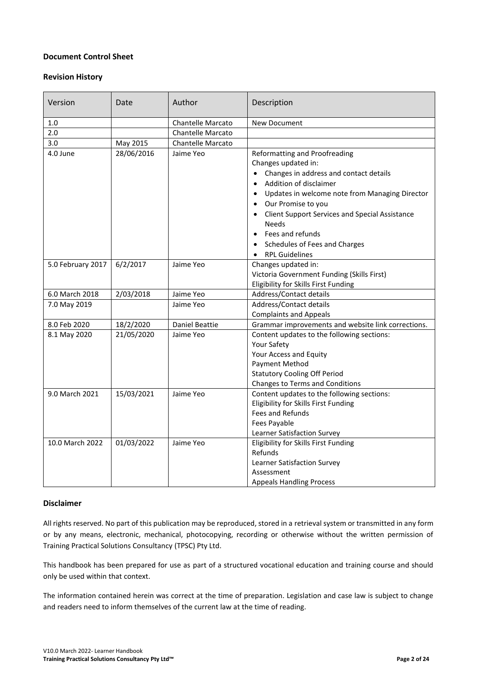### **Document Control Sheet**

### **Revision History**

<span id="page-1-0"></span>

| Version           | Date       | Author                   | Description                                                                                                                                                                                                                                                                                                                                                                        |
|-------------------|------------|--------------------------|------------------------------------------------------------------------------------------------------------------------------------------------------------------------------------------------------------------------------------------------------------------------------------------------------------------------------------------------------------------------------------|
| 1.0               |            | <b>Chantelle Marcato</b> | New Document                                                                                                                                                                                                                                                                                                                                                                       |
| 2.0               |            | <b>Chantelle Marcato</b> |                                                                                                                                                                                                                                                                                                                                                                                    |
| 3.0               | May 2015   | <b>Chantelle Marcato</b> |                                                                                                                                                                                                                                                                                                                                                                                    |
| 4.0 June          | 28/06/2016 | Jaime Yeo                | Reformatting and Proofreading<br>Changes updated in:<br>Changes in address and contact details<br>Addition of disclaimer<br>$\bullet$<br>Updates in welcome note from Managing Director<br>$\bullet$<br>Our Promise to you<br><b>Client Support Services and Special Assistance</b><br>$\bullet$<br><b>Needs</b><br>Fees and refunds<br>$\bullet$<br>Schedules of Fees and Charges |
|                   |            |                          | <b>RPL Guidelines</b>                                                                                                                                                                                                                                                                                                                                                              |
| 5.0 February 2017 | 6/2/2017   | Jaime Yeo                | Changes updated in:<br>Victoria Government Funding (Skills First)<br>Eligibility for Skills First Funding                                                                                                                                                                                                                                                                          |
| 6.0 March 2018    | 2/03/2018  | Jaime Yeo                | Address/Contact details                                                                                                                                                                                                                                                                                                                                                            |
| 7.0 May 2019      |            | Jaime Yeo                | Address/Contact details<br><b>Complaints and Appeals</b>                                                                                                                                                                                                                                                                                                                           |
| 8.0 Feb 2020      | 18/2/2020  | <b>Daniel Beattie</b>    | Grammar improvements and website link corrections.                                                                                                                                                                                                                                                                                                                                 |
| 8.1 May 2020      | 21/05/2020 | Jaime Yeo                | Content updates to the following sections:<br>Your Safety<br>Your Access and Equity<br>Payment Method<br><b>Statutory Cooling Off Period</b><br>Changes to Terms and Conditions                                                                                                                                                                                                    |
| 9.0 March 2021    | 15/03/2021 | Jaime Yeo                | Content updates to the following sections:<br>Eligibility for Skills First Funding<br>Fees and Refunds<br>Fees Payable<br>Learner Satisfaction Survey                                                                                                                                                                                                                              |
| 10.0 March 2022   | 01/03/2022 | Jaime Yeo                | Eligibility for Skills First Funding<br>Refunds<br>Learner Satisfaction Survey<br>Assessment<br><b>Appeals Handling Process</b>                                                                                                                                                                                                                                                    |

### **Disclaimer**

All rights reserved. No part of this publication may be reproduced, stored in a retrieval system or transmitted in any form or by any means, electronic, mechanical, photocopying, recording or otherwise without the written permission of Training Practical Solutions Consultancy (TPSC) Pty Ltd.

This handbook has been prepared for use as part of a structured vocational education and training course and should only be used within that context.

The information contained herein was correct at the time of preparation. Legislation and case law is subject to change and readers need to inform themselves of the current law at the time of reading.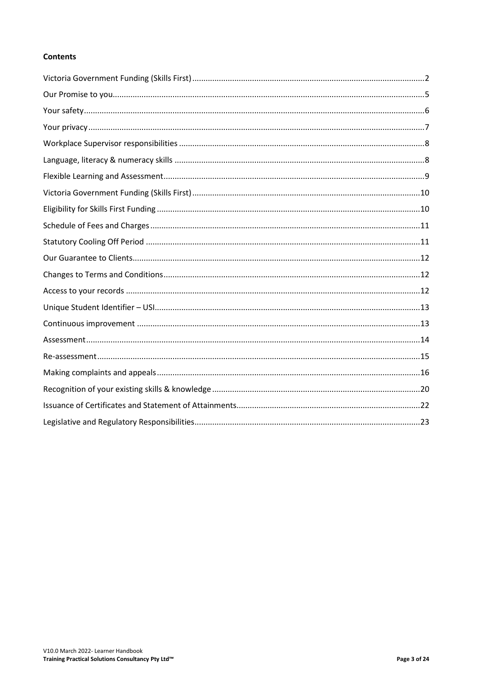# **Contents**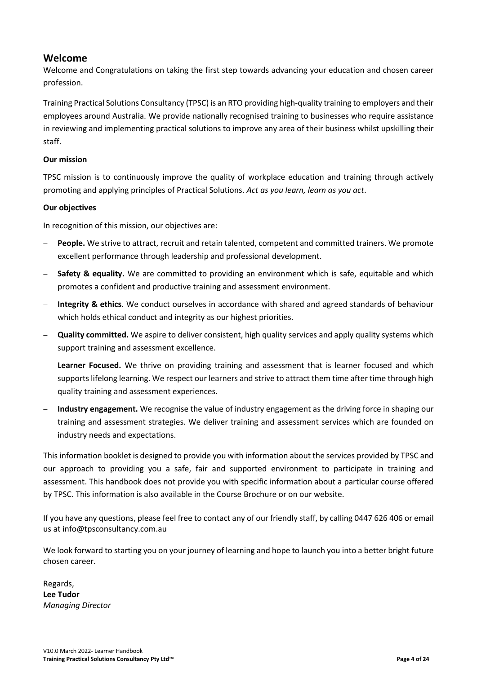# **Welcome**

Welcome and Congratulations on taking the first step towards advancing your education and chosen career profession.

Training Practical Solutions Consultancy (TPSC) is an RTO providing high-quality training to employers and their employees around Australia. We provide nationally recognised training to businesses who require assistance in reviewing and implementing practical solutions to improve any area of their business whilst upskilling their staff.

# **Our mission**

TPSC mission is to continuously improve the quality of workplace education and training through actively promoting and applying principles of Practical Solutions. *Act as you learn, learn as you act*.

# **Our objectives**

In recognition of this mission, our objectives are:

- **People.** We strive to attract, recruit and retain talented, competent and committed trainers. We promote excellent performance through leadership and professional development.
- **Safety & equality.** We are committed to providing an environment which is safe, equitable and which promotes a confident and productive training and assessment environment.
- − **Integrity & ethics**. We conduct ourselves in accordance with shared and agreed standards of behaviour which holds ethical conduct and integrity as our highest priorities.
- − **Quality committed.** We aspire to deliver consistent, high quality services and apply quality systems which support training and assessment excellence.
- **Learner Focused.** We thrive on providing training and assessment that is learner focused and which supports lifelong learning. We respect our learners and strive to attract them time after time through high quality training and assessment experiences.
- − **Industry engagement.** We recognise the value of industry engagement as the driving force in shaping our training and assessment strategies. We deliver training and assessment services which are founded on industry needs and expectations.

This information booklet is designed to provide you with information about the services provided by TPSC and our approach to providing you a safe, fair and supported environment to participate in training and assessment. This handbook does not provide you with specific information about a particular course offered by TPSC. This information is also available in the Course Brochure or on our website.

If you have any questions, please feel free to contact any of our friendly staff, by calling 0447 626 406 or email us at info@tpsconsultancy.com.au

We look forward to starting you on your journey of learning and hope to launch you into a better bright future chosen career.

Regards, **Lee Tudor**  *Managing Director*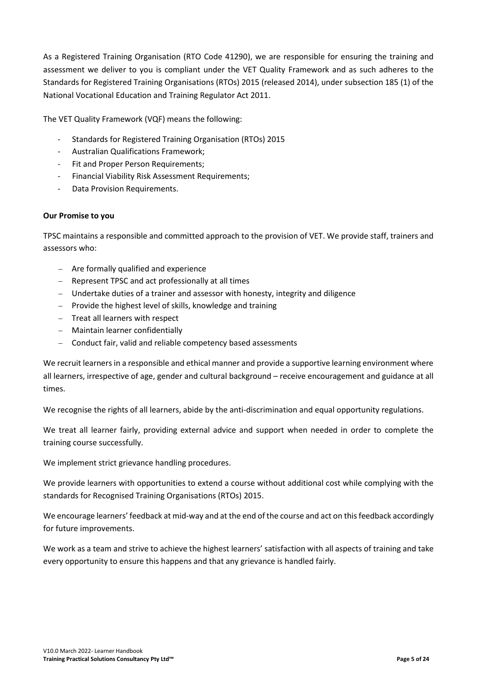As a Registered Training Organisation (RTO Code 41290), we are responsible for ensuring the training and assessment we deliver to you is compliant under the VET Quality Framework and as such adheres to the Standards for Registered Training Organisations (RTOs) 2015 (released 2014), under subsection 185 (1) of the National Vocational Education and Training Regulator Act 2011.

The VET Quality Framework (VQF) means the following:

- Standards for Registered Training Organisation (RTOs) 2015
- Australian Qualifications Framework;
- Fit and Proper Person Requirements;
- Financial Viability Risk Assessment Requirements;
- Data Provision Requirements.

### <span id="page-4-0"></span>**Our Promise to you**

TPSC maintains a responsible and committed approach to the provision of VET. We provide staff, trainers and assessors who:

- − Are formally qualified and experience
- − Represent TPSC and act professionally at all times
- − Undertake duties of a trainer and assessor with honesty, integrity and diligence
- − Provide the highest level of skills, knowledge and training
- − Treat all learners with respect
- − Maintain learner confidentially
- − Conduct fair, valid and reliable competency based assessments

We recruit learners in a responsible and ethical manner and provide a supportive learning environment where all learners, irrespective of age, gender and cultural background – receive encouragement and guidance at all times.

We recognise the rights of all learners, abide by the anti-discrimination and equal opportunity regulations.

We treat all learner fairly, providing external advice and support when needed in order to complete the training course successfully.

We implement strict grievance handling procedures.

We provide learners with opportunities to extend a course without additional cost while complying with the standards for Recognised Training Organisations (RTOs) 2015.

We encourage learners' feedback at mid-way and at the end of the course and act on this feedback accordingly for future improvements.

We work as a team and strive to achieve the highest learners' satisfaction with all aspects of training and take every opportunity to ensure this happens and that any grievance is handled fairly.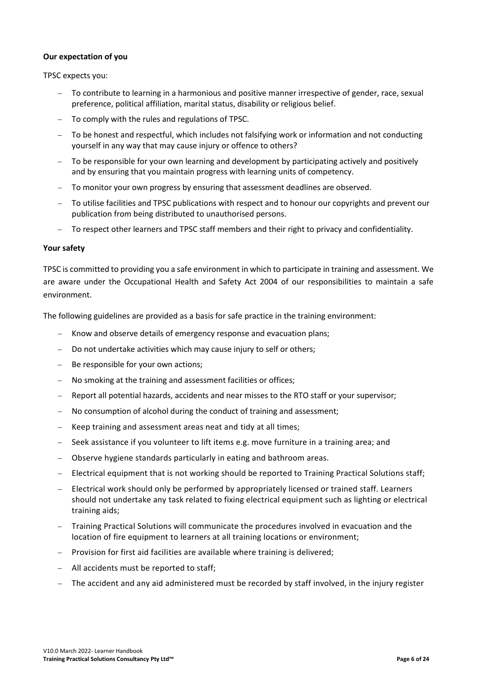### **Our expectation of you**

TPSC expects you:

- To contribute to learning in a harmonious and positive manner irrespective of gender, race, sexual preference, political affiliation, marital status, disability or religious belief.
- − To comply with the rules and regulations of TPSC.
- − To be honest and respectful, which includes not falsifying work or information and not conducting yourself in any way that may cause injury or offence to others?
- − To be responsible for your own learning and development by participating actively and positively and by ensuring that you maintain progress with learning units of competency.
- To monitor your own progress by ensuring that assessment deadlines are observed.
- To utilise facilities and TPSC publications with respect and to honour our copyrights and prevent our publication from being distributed to unauthorised persons.
- − To respect other learners and TPSC staff members and their right to privacy and confidentiality.

# <span id="page-5-0"></span>**Your safety**

TPSC is committed to providing you a safe environment in which to participate in training and assessment. We are aware under the Occupational Health and Safety Act 2004 of our responsibilities to maintain a safe environment.

The following guidelines are provided as a basis for safe practice in the training environment:

- Know and observe details of emergency response and evacuation plans;
- − Do not undertake activities which may cause injury to self or others;
- − Be responsible for your own actions;
- No smoking at the training and assessment facilities or offices;
- − Report all potential hazards, accidents and near misses to the RTO staff or your supervisor;
- − No consumption of alcohol during the conduct of training and assessment;
- Keep training and assessment areas neat and tidy at all times;
- − Seek assistance if you volunteer to lift items e.g. move furniture in a training area; and
- − Observe hygiene standards particularly in eating and bathroom areas.
- Electrical equipment that is not working should be reported to Training Practical Solutions staff;
- − Electrical work should only be performed by appropriately licensed or trained staff. Learners should not undertake any task related to fixing electrical equipment such as lighting or electrical training aids;
- − Training Practical Solutions will communicate the procedures involved in evacuation and the location of fire equipment to learners at all training locations or environment;
- − Provision for first aid facilities are available where training is delivered;
- − All accidents must be reported to staff;
- The accident and any aid administered must be recorded by staff involved, in the injury register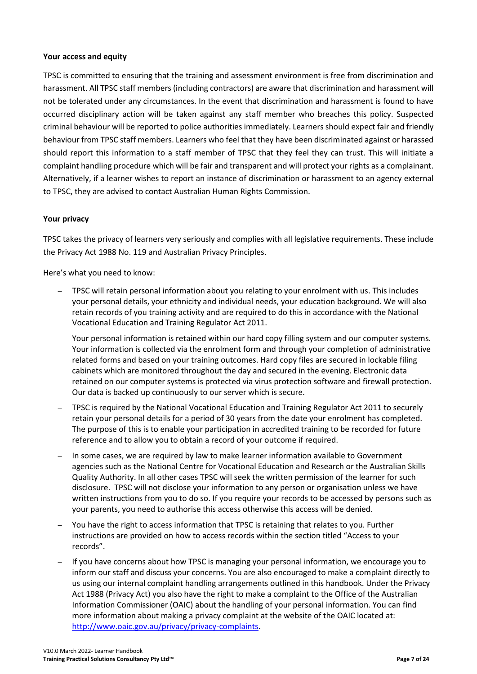### **Your access and equity**

TPSC is committed to ensuring that the training and assessment environment is free from discrimination and harassment. All TPSC staff members (including contractors) are aware that discrimination and harassment will not be tolerated under any circumstances. In the event that discrimination and harassment is found to have occurred disciplinary action will be taken against any staff member who breaches this policy. Suspected criminal behaviour will be reported to police authorities immediately. Learners should expect fair and friendly behaviour from TPSC staff members. Learners who feel that they have been discriminated against or harassed should report this information to a staff member of TPSC that they feel they can trust. This will initiate a complaint handling procedure which will be fair and transparent and will protect your rights as a complainant. Alternatively, if a learner wishes to report an instance of discrimination or harassment to an agency external to TPSC, they are advised to contact Australian Human Rights Commission.

# <span id="page-6-0"></span>**Your privacy**

TPSC takes the privacy of learners very seriously and complies with all legislative requirements. These include the Privacy Act 1988 No. 119 and Australian Privacy Principles.

Here's what you need to know:

- TPSC will retain personal information about you relating to your enrolment with us. This includes your personal details, your ethnicity and individual needs, your education background. We will also retain records of you training activity and are required to do this in accordance with the National Vocational Education and Training Regulator Act 2011.
- Your personal information is retained within our hard copy filling system and our computer systems. Your information is collected via the enrolment form and through your completion of administrative related forms and based on your training outcomes. Hard copy files are secured in lockable filing cabinets which are monitored throughout the day and secured in the evening. Electronic data retained on our computer systems is protected via virus protection software and firewall protection. Our data is backed up continuously to our server which is secure.
- − TPSC is required by the National Vocational Education and Training Regulator Act 2011 to securely retain your personal details for a period of 30 years from the date your enrolment has completed. The purpose of this is to enable your participation in accredited training to be recorded for future reference and to allow you to obtain a record of your outcome if required.
- In some cases, we are required by law to make learner information available to Government agencies such as the National Centre for Vocational Education and Research or the Australian Skills Quality Authority. In all other cases TPSC will seek the written permission of the learner for such disclosure. TPSC will not disclose your information to any person or organisation unless we have written instructions from you to do so. If you require your records to be accessed by persons such as your parents, you need to authorise this access otherwise this access will be denied.
- You have the right to access information that TPSC is retaining that relates to you. Further instructions are provided on how to access records within the section titled "Access to your records".
- − If you have concerns about how TPSC is managing your personal information, we encourage you to inform our staff and discuss your concerns. You are also encouraged to make a complaint directly to us using our internal complaint handling arrangements outlined in this handbook. Under the Privacy Act 1988 (Privacy Act) you also have the right to make a complaint to the Office of the Australian Information Commissioner (OAIC) about the handling of your personal information. You can find more information about making a privacy complaint at the website of the OAIC located at: [http://www.oaic.gov.au/privacy/privacy-complaints.](http://www.oaic.gov.au/privacy/privacy-complaints)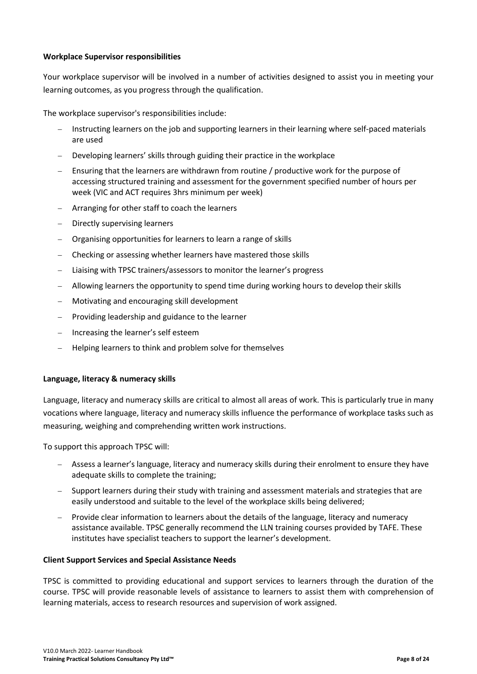# <span id="page-7-0"></span>**Workplace Supervisor responsibilities**

Your workplace supervisor will be involved in a number of activities designed to assist you in meeting your learning outcomes, as you progress through the qualification.

The workplace supervisor's responsibilities include:

- Instructing learners on the job and supporting learners in their learning where self-paced materials are used
- − Developing learners' skills through guiding their practice in the workplace
- Ensuring that the learners are withdrawn from routine / productive work for the purpose of accessing structured training and assessment for the government specified number of hours per week (VIC and ACT requires 3hrs minimum per week)
- − Arranging for other staff to coach the learners
- − Directly supervising learners
- − Organising opportunities for learners to learn a range of skills
- − Checking or assessing whether learners have mastered those skills
- Liaising with TPSC trainers/assessors to monitor the learner's progress
- − Allowing learners the opportunity to spend time during working hours to develop their skills
- − Motivating and encouraging skill development
- Providing leadership and guidance to the learner
- − Increasing the learner's self esteem
- − Helping learners to think and problem solve for themselves

### <span id="page-7-1"></span>**Language, literacy & numeracy skills**

Language, literacy and numeracy skills are critical to almost all areas of work. This is particularly true in many vocations where language, literacy and numeracy skills influence the performance of workplace tasks such as measuring, weighing and comprehending written work instructions.

To support this approach TPSC will:

- − Assess a learner's language, literacy and numeracy skills during their enrolment to ensure they have adequate skills to complete the training;
- − Support learners during their study with training and assessment materials and strategies that are easily understood and suitable to the level of the workplace skills being delivered;
- − Provide clear information to learners about the details of the language, literacy and numeracy assistance available. TPSC generally recommend the LLN training courses provided by TAFE. These institutes have specialist teachers to support the learner's development.

### **Client Support Services and Special Assistance Needs**

TPSC is committed to providing educational and support services to learners through the duration of the course. TPSC will provide reasonable levels of assistance to learners to assist them with comprehension of learning materials, access to research resources and supervision of work assigned.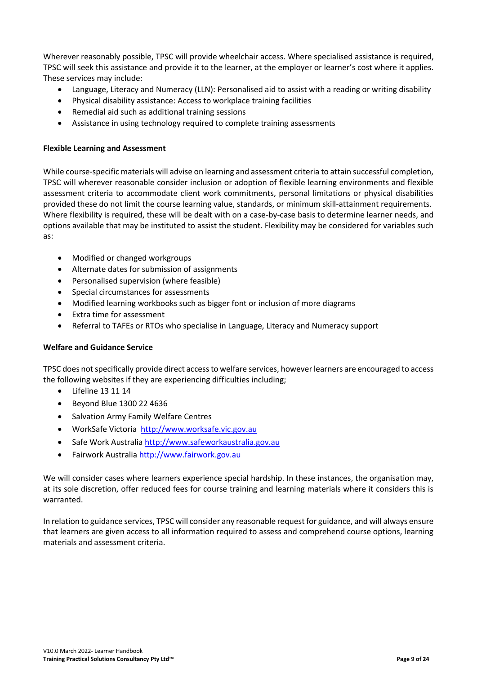Wherever reasonably possible, TPSC will provide wheelchair access. Where specialised assistance is required, TPSC will seek this assistance and provide it to the learner, at the employer or learner's cost where it applies. These services may include:

- Language, Literacy and Numeracy (LLN): Personalised aid to assist with a reading or writing disability
- Physical disability assistance: Access to workplace training facilities
- Remedial aid such as additional training sessions
- Assistance in using technology required to complete training assessments

### <span id="page-8-0"></span>**Flexible Learning and Assessment**

While course-specific materials will advise on learning and assessment criteria to attain successful completion, TPSC will wherever reasonable consider inclusion or adoption of flexible learning environments and flexible assessment criteria to accommodate client work commitments, personal limitations or physical disabilities provided these do not limit the course learning value, standards, or minimum skill-attainment requirements. Where flexibility is required, these will be dealt with on a case-by-case basis to determine learner needs, and options available that may be instituted to assist the student. Flexibility may be considered for variables such as:

- Modified or changed workgroups
- Alternate dates for submission of assignments
- Personalised supervision (where feasible)
- Special circumstances for assessments
- Modified learning workbooks such as bigger font or inclusion of more diagrams
- Extra time for assessment
- Referral to TAFEs or RTOs who specialise in Language, Literacy and Numeracy support

### **Welfare and Guidance Service**

TPSC does not specifically provide direct access to welfare services, however learners are encouraged to access the following websites if they are experiencing difficulties including;

- Lifeline 13 11 14
- Beyond Blue 1300 22 4636
- Salvation Army Family Welfare Centres
- WorkSafe Victoria [http://www.worksafe.vic.gov.au](http://www.worksafe.vic.gov.au/)
- Safe Work Australi[a http://www.safeworkaustralia.gov.au](http://www.safeworkaustralia.gov.au/)
- Fairwork Australi[a http://www.fairwork.gov.au](http://www.fairwork.gov.au/)

We will consider cases where learners experience special hardship. In these instances, the organisation may, at its sole discretion, offer reduced fees for course training and learning materials where it considers this is warranted.

In relation to guidance services, TPSC will consider any reasonable request for guidance, and will always ensure that learners are given access to all information required to assess and comprehend course options, learning materials and assessment criteria.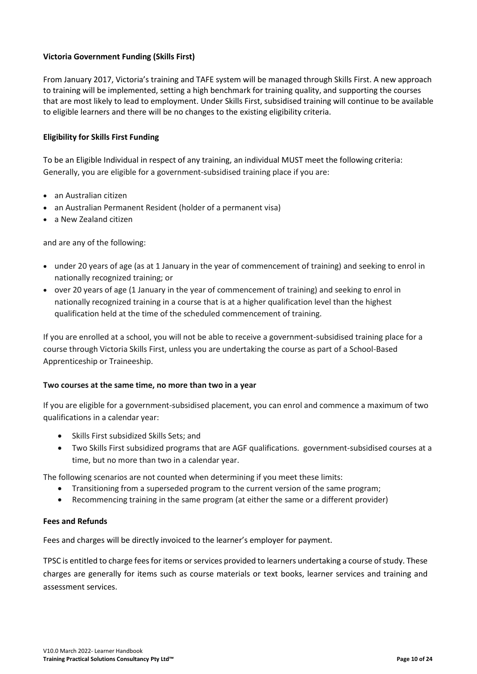# <span id="page-9-0"></span>**Victoria Government Funding (Skills First)**

From January 2017, Victoria's training and TAFE system will be managed through Skills First. A new approach to training will be implemented, setting a high benchmark for training quality, and supporting the courses that are most likely to lead to employment. Under Skills First, subsidised training will continue to be available to eligible learners and there will be no changes to the existing eligibility criteria.

# <span id="page-9-1"></span>**Eligibility for Skills First Funding**

To be an Eligible Individual in respect of any training, an individual MUST meet the following criteria: Generally, you are eligible for a government-subsidised training place if you are:

- an Australian citizen
- an Australian Permanent Resident (holder of a permanent visa)
- a New Zealand citizen

and are any of the following:

- under 20 years of age (as at 1 January in the year of commencement of training) and seeking to enrol in nationally recognized training; or
- over 20 years of age (1 January in the year of commencement of training) and seeking to enrol in nationally recognized training in a course that is at a higher qualification level than the highest qualification held at the time of the scheduled commencement of training.

If you are enrolled at a school, you will not be able to receive a government-subsidised training place for a course through Victoria Skills First, unless you are undertaking the course as part of a School-Based Apprenticeship or Traineeship.

### **Two courses at the same time, no more than two in a year**

If you are eligible for a government-subsidised placement, you can enrol and commence a maximum of two qualifications in a calendar year:

- Skills First subsidized Skills Sets; and
- Two Skills First subsidized programs that are AGF qualifications. government-subsidised courses at a time, but no more than two in a calendar year.

The following scenarios are not counted when determining if you meet these limits:

- Transitioning from a superseded program to the current version of the same program;
- Recommencing training in the same program (at either the same or a different provider)

### **Fees and Refunds**

Fees and charges will be directly invoiced to the learner's employer for payment.

TPSC is entitled to charge fees for items or services provided to learners undertaking a course of study. These charges are generally for items such as course materials or text books, learner services and training and assessment services.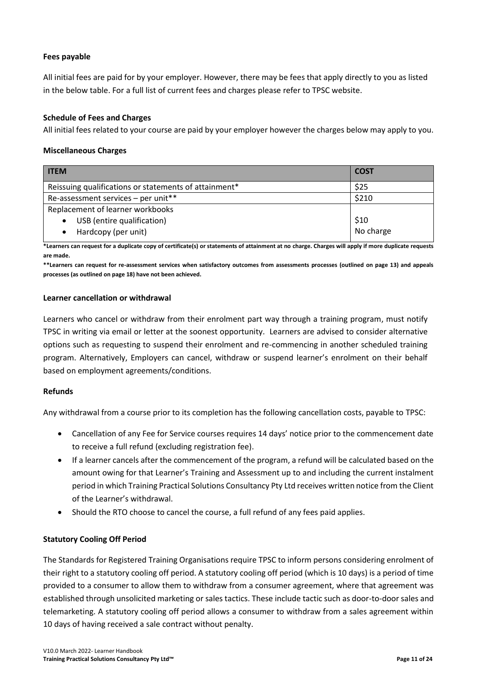# **Fees payable**

All initial fees are paid for by your employer. However, there may be fees that apply directly to you as listed in the below table. For a full list of current fees and charges please refer to TPSC website.

### <span id="page-10-0"></span>**Schedule of Fees and Charges**

All initial fees related to your course are paid by your employer however the charges below may apply to you.

### **Miscellaneous Charges**

| <b>ITEM</b>                                           | <b>COST</b> |
|-------------------------------------------------------|-------------|
| Reissuing qualifications or statements of attainment* | \$25        |
| Re-assessment services - per unit**                   | \$210       |
| Replacement of learner workbooks                      |             |
| USB (entire qualification)                            | \$10        |
| Hardcopy (per unit)<br>$\bullet$                      | No charge   |

**\*Learners can request for a duplicate copy of certificate(s) or statements of attainment at no charge. Charges will apply if more duplicate requests are made.**

**\*\*Learners can request for re-assessment services when satisfactory outcomes from assessments processes (outlined on page 13) and appeals processes (as outlined on page 18) have not been achieved.**

### **Learner cancellation or withdrawal**

Learners who cancel or withdraw from their enrolment part way through a training program, must notify TPSC in writing via email or letter at the soonest opportunity. Learners are advised to consider alternative options such as requesting to suspend their enrolment and re-commencing in another scheduled training program. Alternatively, Employers can cancel, withdraw or suspend learner's enrolment on their behalf based on employment agreements/conditions.

### **Refunds**

Any withdrawal from a course prior to its completion has the following cancellation costs, payable to TPSC:

- Cancellation of any Fee for Service courses requires 14 days' notice prior to the commencement date to receive a full refund (excluding registration fee).
- If a learner cancels after the commencement of the program, a refund will be calculated based on the amount owing for that Learner's Training and Assessment up to and including the current instalment period in which Training Practical Solutions Consultancy Pty Ltd receives written notice from the Client of the Learner's withdrawal.
- Should the RTO choose to cancel the course, a full refund of any fees paid applies.

### <span id="page-10-1"></span>**Statutory Cooling Off Period**

The Standards for Registered Training Organisations require TPSC to inform persons considering enrolment of their right to a statutory cooling off period. A statutory cooling off period (which is 10 days) is a period of time provided to a consumer to allow them to withdraw from a consumer agreement, where that agreement was established through unsolicited marketing or sales tactics. These include tactic such as door-to-door sales and telemarketing. A statutory cooling off period allows a consumer to withdraw from a sales agreement within 10 days of having received a sale contract without penalty.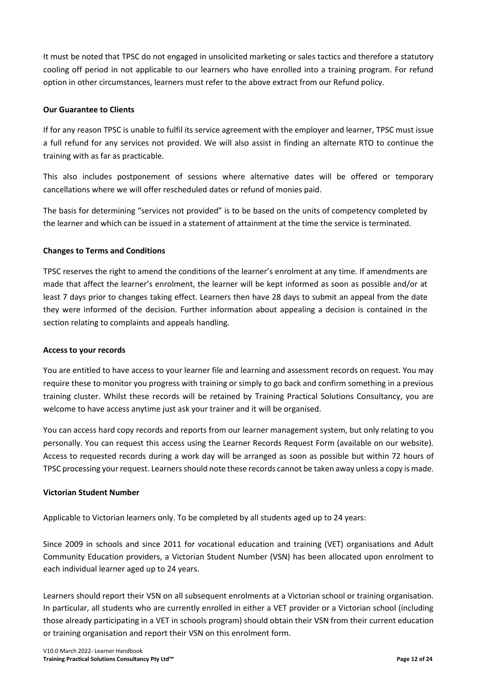It must be noted that TPSC do not engaged in unsolicited marketing or sales tactics and therefore a statutory cooling off period in not applicable to our learners who have enrolled into a training program. For refund option in other circumstances, learners must refer to the above extract from our Refund policy.

# <span id="page-11-0"></span>**Our Guarantee to Clients**

If for any reason TPSC is unable to fulfil its service agreement with the employer and learner, TPSC must issue a full refund for any services not provided. We will also assist in finding an alternate RTO to continue the training with as far as practicable.

This also includes postponement of sessions where alternative dates will be offered or temporary cancellations where we will offer rescheduled dates or refund of monies paid.

The basis for determining "services not provided" is to be based on the units of competency completed by the learner and which can be issued in a statement of attainment at the time the service is terminated.

# <span id="page-11-1"></span>**Changes to Terms and Conditions**

TPSC reserves the right to amend the conditions of the learner's enrolment at any time. If amendments are made that affect the learner's enrolment, the learner will be kept informed as soon as possible and/or at least 7 days prior to changes taking effect. Learners then have 28 days to submit an appeal from the date they were informed of the decision. Further information about appealing a decision is contained in the section relating to complaints and appeals handling.

### <span id="page-11-2"></span>**Access to your records**

You are entitled to have access to your learner file and learning and assessment records on request. You may require these to monitor you progress with training or simply to go back and confirm something in a previous training cluster. Whilst these records will be retained by Training Practical Solutions Consultancy, you are welcome to have access anytime just ask your trainer and it will be organised.

You can access hard copy records and reports from our learner management system, but only relating to you personally. You can request this access using the Learner Records Request Form (available on our website). Access to requested records during a work day will be arranged as soon as possible but within 72 hours of TPSC processing your request. Learners should note these records cannot be taken away unless a copy is made.

### **Victorian Student Number**

Applicable to Victorian learners only. To be completed by all students aged up to 24 years:

Since 2009 in schools and since 2011 for vocational education and training (VET) organisations and Adult Community Education providers, a Victorian Student Number (VSN) has been allocated upon enrolment to each individual learner aged up to 24 years.

Learners should report their VSN on all subsequent enrolments at a Victorian school or training organisation. In particular, all students who are currently enrolled in either a VET provider or a Victorian school (including those already participating in a VET in schools program) should obtain their VSN from their current education or training organisation and report their VSN on this enrolment form.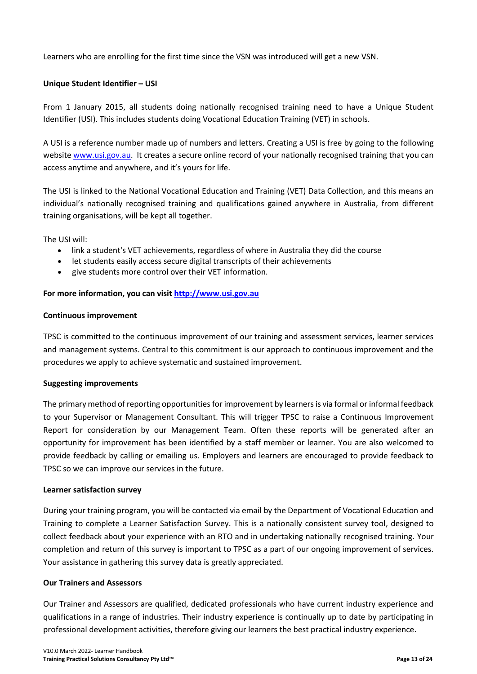Learners who are enrolling for the first time since the VSN was introduced will get a new VSN.

# <span id="page-12-0"></span>**Unique Student Identifier – USI**

From 1 January 2015, all students doing nationally recognised training need to have a Unique Student Identifier (USI). This includes students doing Vocational Education Training (VET) in schools.

A USI is a reference number made up of numbers and letters. Creating a USI is free by going to the following websit[e www.usi.gov.au.](http://www.usi.gov.au/) It creates a secure online record of your nationally recognised training that you can access anytime and anywhere, and it's yours for life.

The USI is linked to the National Vocational Education and Training (VET) Data Collection, and this means an individual's nationally recognised training and qualifications gained anywhere in Australia, from different training organisations, will be kept all together.

The USI will:

- link a student's VET achievements, regardless of where in Australia they did the course
- let students easily access secure digital transcripts of their achievements
- give students more control over their VET information.

### **For more information, you can visit [http://www.usi.gov.au](http://www.usi.gov.au/)**

### <span id="page-12-1"></span>**Continuous improvement**

TPSC is committed to the continuous improvement of our training and assessment services, learner services and management systems. Central to this commitment is our approach to continuous improvement and the procedures we apply to achieve systematic and sustained improvement.

### **Suggesting improvements**

The primary method of reporting opportunities for improvement by learners is via formal or informal feedback to your Supervisor or Management Consultant. This will trigger TPSC to raise a Continuous Improvement Report for consideration by our Management Team. Often these reports will be generated after an opportunity for improvement has been identified by a staff member or learner. You are also welcomed to provide feedback by calling or emailing us. Employers and learners are encouraged to provide feedback to TPSC so we can improve our services in the future.

### **Learner satisfaction survey**

During your training program, you will be contacted via email by the Department of Vocational Education and Training to complete a Learner Satisfaction Survey. This is a nationally consistent survey tool, designed to collect feedback about your experience with an RTO and in undertaking nationally recognised training. Your completion and return of this survey is important to TPSC as a part of our ongoing improvement of services. Your assistance in gathering this survey data is greatly appreciated.

### **Our Trainers and Assessors**

Our Trainer and Assessors are qualified, dedicated professionals who have current industry experience and qualifications in a range of industries. Their industry experience is continually up to date by participating in professional development activities, therefore giving our learners the best practical industry experience.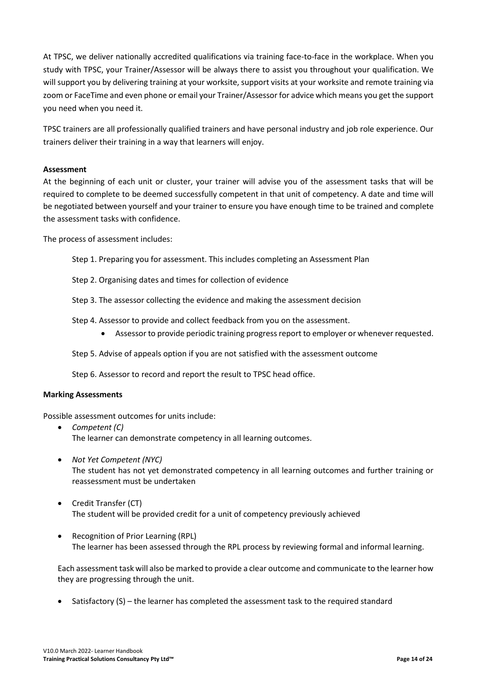At TPSC, we deliver nationally accredited qualifications via training face-to-face in the workplace. When you study with TPSC, your Trainer/Assessor will be always there to assist you throughout your qualification. We will support you by delivering training at your worksite, support visits at your worksite and remote training via zoom or FaceTime and even phone or email your Trainer/Assessor for advice which means you get the support you need when you need it.

TPSC trainers are all professionally qualified trainers and have personal industry and job role experience. Our trainers deliver their training in a way that learners will enjoy.

### <span id="page-13-0"></span>**Assessment**

At the beginning of each unit or cluster, your trainer will advise you of the assessment tasks that will be required to complete to be deemed successfully competent in that unit of competency. A date and time will be negotiated between yourself and your trainer to ensure you have enough time to be trained and complete the assessment tasks with confidence.

The process of assessment includes:

Step 1. Preparing you for assessment. This includes completing an Assessment Plan

Step 2. Organising dates and times for collection of evidence

- Step 3. The assessor collecting the evidence and making the assessment decision
- Step 4. Assessor to provide and collect feedback from you on the assessment.
	- Assessor to provide periodic training progress report to employer or whenever requested.

Step 5. Advise of appeals option if you are not satisfied with the assessment outcome

Step 6. Assessor to record and report the result to TPSC head office.

### **Marking Assessments**

Possible assessment outcomes for units include:

- *Competent (C)*  The learner can demonstrate competency in all learning outcomes.
- *Not Yet Competent (NYC)*  The student has not yet demonstrated competency in all learning outcomes and further training or reassessment must be undertaken
- Credit Transfer (CT) The student will be provided credit for a unit of competency previously achieved
- Recognition of Prior Learning (RPL) The learner has been assessed through the RPL process by reviewing formal and informal learning.

Each assessment task will also be marked to provide a clear outcome and communicate to the learner how they are progressing through the unit.

• Satisfactory (S) – the learner has completed the assessment task to the required standard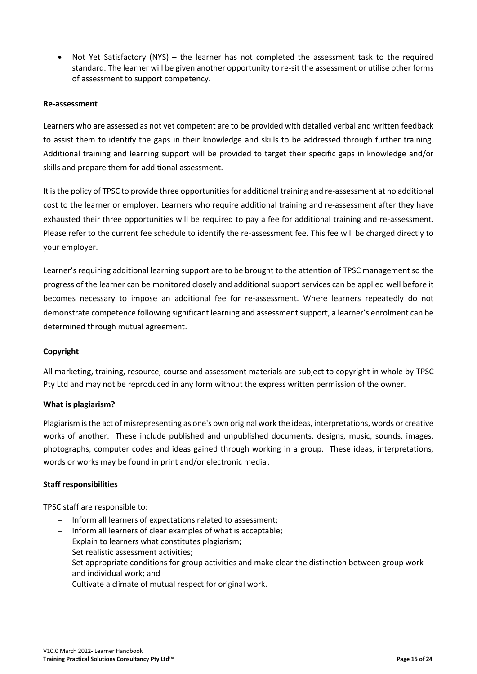• Not Yet Satisfactory (NYS) – the learner has not completed the assessment task to the required standard. The learner will be given another opportunity to re-sit the assessment or utilise other forms of assessment to support competency.

### <span id="page-14-0"></span>**Re-assessment**

Learners who are assessed as not yet competent are to be provided with detailed verbal and written feedback to assist them to identify the gaps in their knowledge and skills to be addressed through further training. Additional training and learning support will be provided to target their specific gaps in knowledge and/or skills and prepare them for additional assessment.

It is the policy of TPSC to provide three opportunities for additional training and re-assessment at no additional cost to the learner or employer. Learners who require additional training and re-assessment after they have exhausted their three opportunities will be required to pay a fee for additional training and re-assessment. Please refer to the current fee schedule to identify the re-assessment fee. This fee will be charged directly to your employer.

Learner's requiring additional learning support are to be brought to the attention of TPSC management so the progress of the learner can be monitored closely and additional support services can be applied well before it becomes necessary to impose an additional fee for re-assessment. Where learners repeatedly do not demonstrate competence following significant learning and assessment support, a learner's enrolment can be determined through mutual agreement.

### **Copyright**

All marketing, training, resource, course and assessment materials are subject to copyright in whole by TPSC Pty Ltd and may not be reproduced in any form without the express written permission of the owner.

### **What is plagiarism?**

Plagiarism is the act of misrepresenting as one's own original work the ideas, interpretations, words or creative works of another. These include published and unpublished documents, designs, music, sounds, images, photographs, computer codes and ideas gained through working in a group. These ideas, interpretations, words or works may be found in print and/or electronic media .

### **Staff responsibilities**

TPSC staff are responsible to:

- − Inform all learners of expectations related to assessment;
- − Inform all learners of clear examples of what is acceptable;
- − Explain to learners what constitutes plagiarism;
- − Set realistic assessment activities;
- − Set appropriate conditions for group activities and make clear the distinction between group work and individual work; and
- − Cultivate a climate of mutual respect for original work.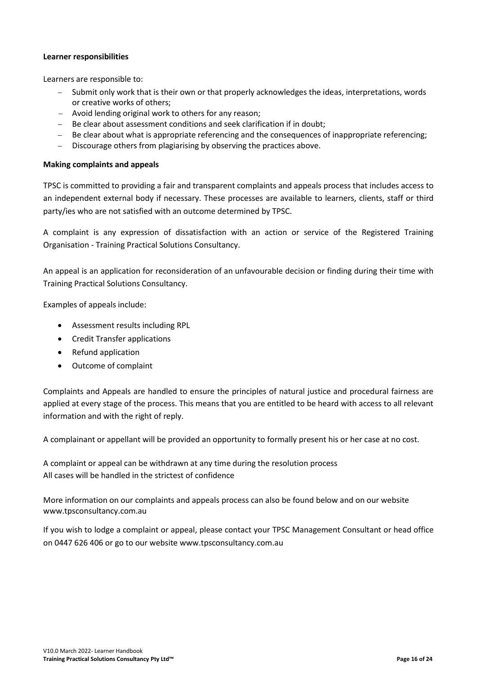### **Learner responsibilities**

Learners are responsible to:

- − Submit only work that is their own or that properly acknowledges the ideas, interpretations, words or creative works of others;
- − Avoid lending original work to others for any reason;
- − Be clear about assessment conditions and seek clarification if in doubt;
- − Be clear about what is appropriate referencing and the consequences of inappropriate referencing;
- − Discourage others from plagiarising by observing the practices above.

### <span id="page-15-0"></span>**Making complaints and appeals**

TPSC is committed to providing a fair and transparent complaints and appeals process that includes access to an independent external body if necessary. These processes are available to learners, clients, staff or third party/ies who are not satisfied with an outcome determined by TPSC.

A complaint is any expression of dissatisfaction with an action or service of the Registered Training Organisation - Training Practical Solutions Consultancy.

An appeal is an application for reconsideration of an unfavourable decision or finding during their time with Training Practical Solutions Consultancy.

Examples of appeals include:

- Assessment results including RPL
- Credit Transfer applications
- Refund application
- Outcome of complaint

Complaints and Appeals are handled to ensure the principles of natural justice and procedural fairness are applied at every stage of the process. This means that you are entitled to be heard with access to all relevant information and with the right of reply.

A complainant or appellant will be provided an opportunity to formally present his or her case at no cost.

A complaint or appeal can be withdrawn at any time during the resolution process All cases will be handled in the strictest of confidence

More information on our complaints and appeals process can also be found below and on our website www.tpsconsultancy.com.au

If you wish to lodge a complaint or appeal, please contact your TPSC Management Consultant or head office on 0447 626 406 or go to our website www.tpsconsultancy.com.au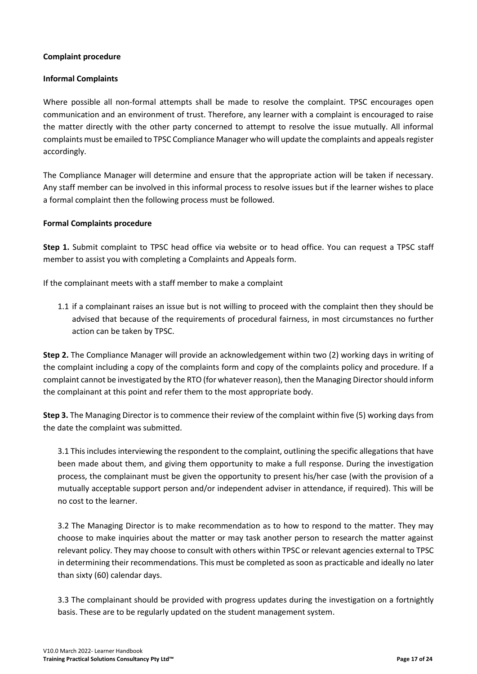# **Complaint procedure**

# **Informal Complaints**

Where possible all non-formal attempts shall be made to resolve the complaint. TPSC encourages open communication and an environment of trust. Therefore, any learner with a complaint is encouraged to raise the matter directly with the other party concerned to attempt to resolve the issue mutually. All informal complaints must be emailed to TPSC Compliance Manager who will update the complaints and appeals register accordingly.

The Compliance Manager will determine and ensure that the appropriate action will be taken if necessary. Any staff member can be involved in this informal process to resolve issues but if the learner wishes to place a formal complaint then the following process must be followed.

# **Formal Complaints procedure**

**Step 1.** Submit complaint to TPSC head office via website or to head office. You can request a TPSC staff member to assist you with completing a Complaints and Appeals form.

If the complainant meets with a staff member to make a complaint

1.1 if a complainant raises an issue but is not willing to proceed with the complaint then they should be advised that because of the requirements of procedural fairness, in most circumstances no further action can be taken by TPSC.

**Step 2.** The Compliance Manager will provide an acknowledgement within two (2) working days in writing of the complaint including a copy of the complaints form and copy of the complaints policy and procedure. If a complaint cannot be investigated by the RTO (for whatever reason), then the Managing Director should inform the complainant at this point and refer them to the most appropriate body.

**Step 3.** The Managing Director is to commence their review of the complaint within five (5) working days from the date the complaint was submitted.

3.1 This includes interviewing the respondent to the complaint, outlining the specific allegations that have been made about them, and giving them opportunity to make a full response. During the investigation process, the complainant must be given the opportunity to present his/her case (with the provision of a mutually acceptable support person and/or independent adviser in attendance, if required). This will be no cost to the learner.

3.2 The Managing Director is to make recommendation as to how to respond to the matter. They may choose to make inquiries about the matter or may task another person to research the matter against relevant policy. They may choose to consult with others within TPSC or relevant agencies external to TPSC in determining their recommendations. This must be completed as soon as practicable and ideally no later than sixty (60) calendar days.

3.3 The complainant should be provided with progress updates during the investigation on a fortnightly basis. These are to be regularly updated on the student management system.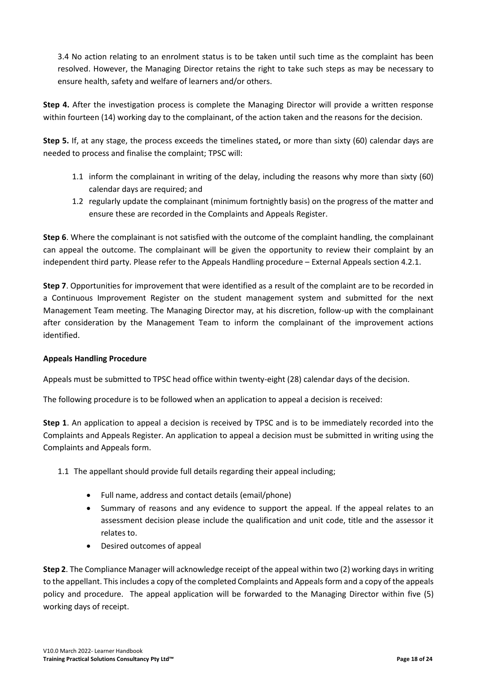3.4 No action relating to an enrolment status is to be taken until such time as the complaint has been resolved. However, the Managing Director retains the right to take such steps as may be necessary to ensure health, safety and welfare of learners and/or others.

**Step 4.** After the investigation process is complete the Managing Director will provide a written response within fourteen (14) working day to the complainant, of the action taken and the reasons for the decision.

**Step 5.** If, at any stage, the process exceeds the timelines stated**,** or more than sixty (60) calendar days are needed to process and finalise the complaint; TPSC will:

- 1.1 inform the complainant in writing of the delay, including the reasons why more than sixty (60) calendar days are required; and
- 1.2 regularly update the complainant (minimum fortnightly basis) on the progress of the matter and ensure these are recorded in the Complaints and Appeals Register.

**Step 6**. Where the complainant is not satisfied with the outcome of the complaint handling, the complainant can appeal the outcome. The complainant will be given the opportunity to review their complaint by an independent third party. Please refer to the Appeals Handling procedure – External Appeals section 4.2.1.

**Step 7**. Opportunities for improvement that were identified as a result of the complaint are to be recorded in a Continuous Improvement Register on the student management system and submitted for the next Management Team meeting. The Managing Director may, at his discretion, follow-up with the complainant after consideration by the Management Team to inform the complainant of the improvement actions identified.

# **Appeals Handling Procedure**

Appeals must be submitted to TPSC head office within twenty-eight (28) calendar days of the decision.

The following procedure is to be followed when an application to appeal a decision is received:

**Step 1**. An application to appeal a decision is received by TPSC and is to be immediately recorded into the Complaints and Appeals Register. An application to appeal a decision must be submitted in writing using the Complaints and Appeals form.

- 1.1 The appellant should provide full details regarding their appeal including;
	- Full name, address and contact details (email/phone)
	- Summary of reasons and any evidence to support the appeal. If the appeal relates to an assessment decision please include the qualification and unit code, title and the assessor it relates to.
	- Desired outcomes of appeal

**Step 2**. The Compliance Manager will acknowledge receipt of the appeal within two (2) working days in writing to the appellant. This includes a copy of the completed Complaints and Appeals form and a copy of the appeals policy and procedure. The appeal application will be forwarded to the Managing Director within five (5) working days of receipt.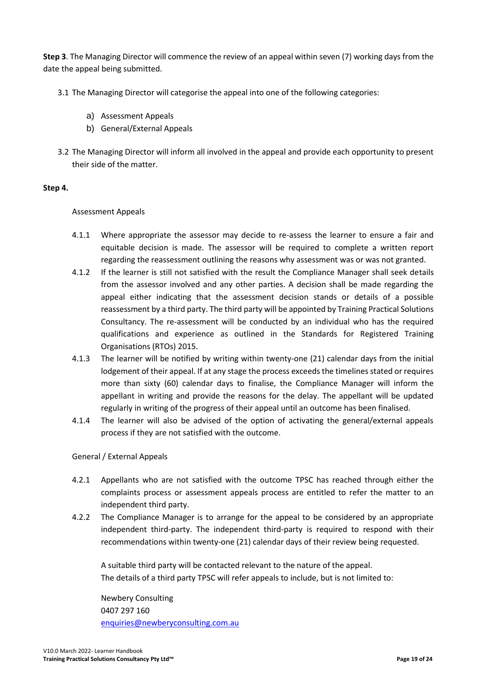**Step 3**. The Managing Director will commence the review of an appeal within seven (7) working days from the date the appeal being submitted.

- 3.1 The Managing Director will categorise the appeal into one of the following categories:
	- a) Assessment Appeals
	- b) General/External Appeals
- 3.2 The Managing Director will inform all involved in the appeal and provide each opportunity to present their side of the matter.

# **Step 4.**

# Assessment Appeals

- 4.1.1 Where appropriate the assessor may decide to re-assess the learner to ensure a fair and equitable decision is made. The assessor will be required to complete a written report regarding the reassessment outlining the reasons why assessment was or was not granted.
- 4.1.2 If the learner is still not satisfied with the result the Compliance Manager shall seek details from the assessor involved and any other parties. A decision shall be made regarding the appeal either indicating that the assessment decision stands or details of a possible reassessment by a third party. The third party will be appointed by Training Practical Solutions Consultancy. The re-assessment will be conducted by an individual who has the required qualifications and experience as outlined in the Standards for Registered Training Organisations (RTOs) 2015.
- 4.1.3 The learner will be notified by writing within twenty-one (21) calendar days from the initial lodgement of their appeal. If at any stage the process exceeds the timelines stated or requires more than sixty (60) calendar days to finalise, the Compliance Manager will inform the appellant in writing and provide the reasons for the delay. The appellant will be updated regularly in writing of the progress of their appeal until an outcome has been finalised.
- 4.1.4 The learner will also be advised of the option of activating the general/external appeals process if they are not satisfied with the outcome.

# General / External Appeals

- 4.2.1 Appellants who are not satisfied with the outcome TPSC has reached through either the complaints process or assessment appeals process are entitled to refer the matter to an independent third party.
- 4.2.2 The Compliance Manager is to arrange for the appeal to be considered by an appropriate independent third-party. The independent third-party is required to respond with their recommendations within twenty-one (21) calendar days of their review being requested.

A suitable third party will be contacted relevant to the nature of the appeal. The details of a third party TPSC will refer appeals to include, but is not limited to:

Newbery Consulting 0407 297 160 [enquiries@newberyconsulting.com.au](mailto:enquiries@newberyconsulting.com.au)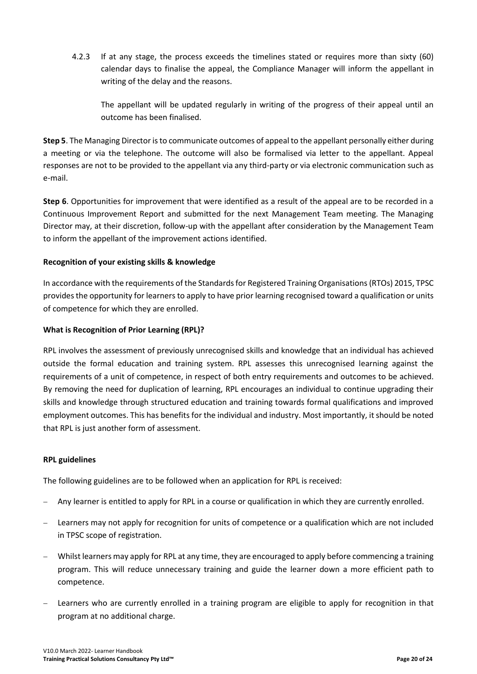4.2.3 If at any stage, the process exceeds the timelines stated or requires more than sixty (60) calendar days to finalise the appeal, the Compliance Manager will inform the appellant in writing of the delay and the reasons.

The appellant will be updated regularly in writing of the progress of their appeal until an outcome has been finalised.

**Step 5**. The Managing Director isto communicate outcomes of appeal to the appellant personally either during a meeting or via the telephone. The outcome will also be formalised via letter to the appellant. Appeal responses are not to be provided to the appellant via any third-party or via electronic communication such as e-mail.

**Step 6**. Opportunities for improvement that were identified as a result of the appeal are to be recorded in a Continuous Improvement Report and submitted for the next Management Team meeting. The Managing Director may, at their discretion, follow-up with the appellant after consideration by the Management Team to inform the appellant of the improvement actions identified.

# <span id="page-19-0"></span>**Recognition of your existing skills & knowledge**

In accordance with the requirements of the Standards for Registered Training Organisations (RTOs) 2015, TPSC provides the opportunity for learners to apply to have prior learning recognised toward a qualification or units of competence for which they are enrolled.

# **What is Recognition of Prior Learning (RPL)?**

RPL involves the assessment of previously unrecognised skills and knowledge that an individual has achieved outside the formal education and training system. RPL assesses this unrecognised learning against the requirements of a unit of competence, in respect of both entry requirements and outcomes to be achieved. By removing the need for duplication of learning, RPL encourages an individual to continue upgrading their skills and knowledge through structured education and training towards formal qualifications and improved employment outcomes. This has benefits for the individual and industry. Most importantly, it should be noted that RPL is just another form of assessment.

### **RPL guidelines**

The following guidelines are to be followed when an application for RPL is received:

- − Any learner is entitled to apply for RPL in a course or qualification in which they are currently enrolled.
- − Learners may not apply for recognition for units of competence or a qualification which are not included in TPSC scope of registration.
- − Whilst learners may apply for RPL at any time, they are encouraged to apply before commencing a training program. This will reduce unnecessary training and guide the learner down a more efficient path to competence.
- Learners who are currently enrolled in a training program are eligible to apply for recognition in that program at no additional charge.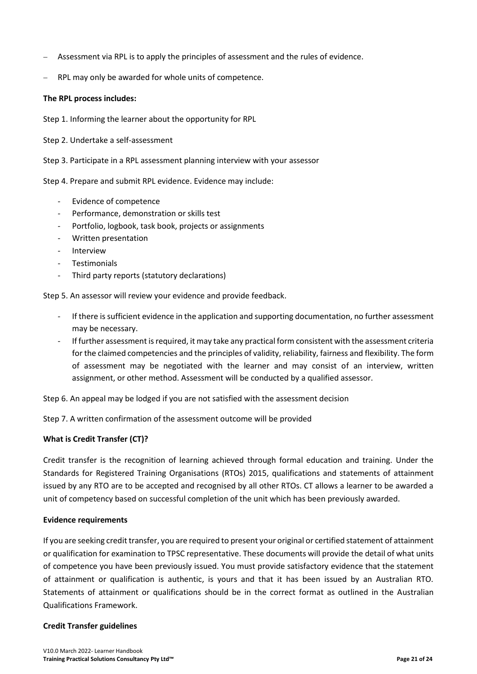- − Assessment via RPL is to apply the principles of assessment and the rules of evidence.
- RPL may only be awarded for whole units of competence.

### **The RPL process includes:**

Step 1. Informing the learner about the opportunity for RPL

Step 2. Undertake a self-assessment

Step 3. Participate in a RPL assessment planning interview with your assessor

Step 4. Prepare and submit RPL evidence. Evidence may include:

- *-* Evidence of competence
- *-* Performance, demonstration or skills test
- *-* Portfolio, logbook, task book, projects or assignments
- *-* Written presentation
- *-* Interview
- *-* Testimonials
- *-* Third party reports (statutory declarations)

Step 5. An assessor will review your evidence and provide feedback.

- *-* If there is sufficient evidence in the application and supporting documentation, no further assessment may be necessary.
- *-* If further assessment is required, it may take any practical form consistent with the assessment criteria for the claimed competencies and the principles of validity, reliability, fairness and flexibility. The form of assessment may be negotiated with the learner and may consist of an interview, written assignment, or other method. Assessment will be conducted by a qualified assessor.

Step 6. An appeal may be lodged if you are not satisfied with the assessment decision

Step 7. A written confirmation of the assessment outcome will be provided

# **What is Credit Transfer (CT)?**

Credit transfer is the recognition of learning achieved through formal education and training. Under the Standards for Registered Training Organisations (RTOs) 2015, qualifications and statements of attainment issued by any RTO are to be accepted and recognised by all other RTOs. CT allows a learner to be awarded a unit of competency based on successful completion of the unit which has been previously awarded.

### **Evidence requirements**

If you are seeking credit transfer, you are required to present your original or certified statement of attainment or qualification for examination to TPSC representative. These documents will provide the detail of what units of competence you have been previously issued. You must provide satisfactory evidence that the statement of attainment or qualification is authentic, is yours and that it has been issued by an Australian RTO. Statements of attainment or qualifications should be in the correct format as outlined in the Australian Qualifications Framework.

### **Credit Transfer guidelines**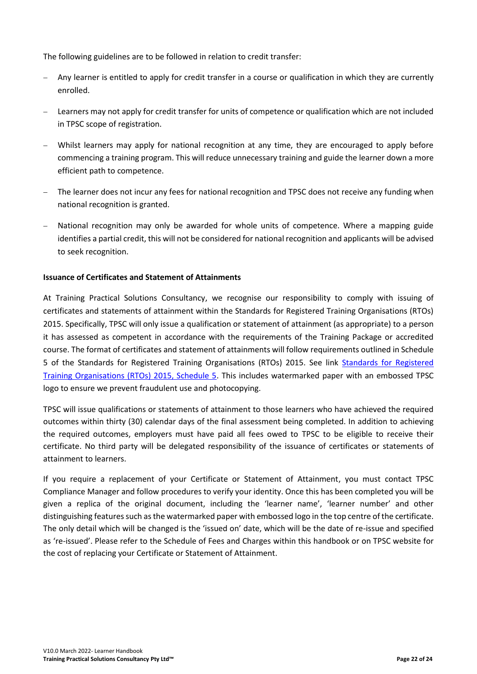The following guidelines are to be followed in relation to credit transfer:

- − Any learner is entitled to apply for credit transfer in a course or qualification in which they are currently enrolled.
- − Learners may not apply for credit transfer for units of competence or qualification which are not included in TPSC scope of registration.
- Whilst learners may apply for national recognition at any time, they are encouraged to apply before commencing a training program. This will reduce unnecessary training and guide the learner down a more efficient path to competence.
- The learner does not incur any fees for national recognition and TPSC does not receive any funding when national recognition is granted.
- National recognition may only be awarded for whole units of competence. Where a mapping guide identifies a partial credit, this will not be considered for national recognition and applicants will be advised to seek recognition.

# <span id="page-21-0"></span>**Issuance of Certificates and Statement of Attainments**

At Training Practical Solutions Consultancy, we recognise our responsibility to comply with issuing of certificates and statements of attainment within the Standards for Registered Training Organisations (RTOs) 2015. Specifically, TPSC will only issue a qualification or statement of attainment (as appropriate) to a person it has assessed as competent in accordance with the requirements of the Training Package or accredited course. The format of certificates and statement of attainments will follow requirements outlined in Schedule 5 of the Standards for Registered Training Organisations (RTOs) 2015. See link [Standards for Registered](http://www.comlaw.gov.au/Details/F2014L01377)  [Training Organisations \(RTOs\) 2015, Schedule 5.](http://www.comlaw.gov.au/Details/F2014L01377) This includes watermarked paper with an embossed TPSC logo to ensure we prevent fraudulent use and photocopying.

TPSC will issue qualifications or statements of attainment to those learners who have achieved the required outcomes within thirty (30) calendar days of the final assessment being completed. In addition to achieving the required outcomes, employers must have paid all fees owed to TPSC to be eligible to receive their certificate. No third party will be delegated responsibility of the issuance of certificates or statements of attainment to learners.

If you require a replacement of your Certificate or Statement of Attainment, you must contact TPSC Compliance Manager and follow procedures to verify your identity. Once this has been completed you will be given a replica of the original document, including the 'learner name', 'learner number' and other distinguishing features such as the watermarked paper with embossed logo in the top centre of the certificate. The only detail which will be changed is the 'issued on' date, which will be the date of re-issue and specified as 're-issued'. Please refer to the Schedule of Fees and Charges within this handbook or on TPSC website for the cost of replacing your Certificate or Statement of Attainment.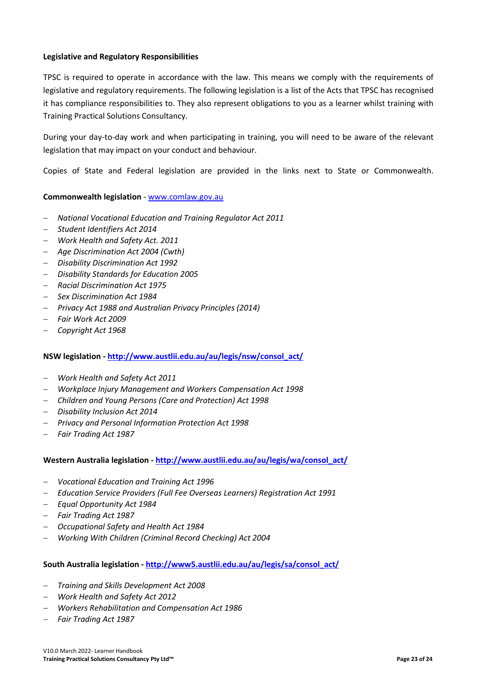### <span id="page-22-0"></span>**Legislative and Regulatory Responsibilities**

TPSC is required to operate in accordance with the law. This means we comply with the requirements of legislative and regulatory requirements. The following legislation is a list of the Acts that TPSC has recognised it has compliance responsibilities to. They also represent obligations to you as a learner whilst training with Training Practical Solutions Consultancy.

During your day-to-day work and when participating in training, you will need to be aware of the relevant legislation that may impact on your conduct and behaviour.

Copies of State and Federal legislation are provided in the links next to State or Commonwealth.

# **Commonwealth legislation** - [www.comlaw.gov.au](http://www.comlaw.gov.au/)

- − *National Vocational Education and Training Regulator Act 2011*
- − *Student Identifiers Act 2014*
- − *Work Health and Safety Act. 2011*
- − *Age Discrimination Act 2004 (Cwth)*
- − *Disability Discrimination Act 1992*
- − *Disability Standards for Education 2005*
- − *Racial Discrimination Act 1975*
- − *Sex Discrimination Act 1984*
- − *Privacy Act 1988 and Australian Privacy Principles (2014)*
- − *Fair Work Act 2009*
- − *Copyright Act 1968*

### **NSW legislation - [http://www.austlii.edu.au/au/legis/nsw/consol\\_act/](http://www.austlii.edu.au/au/legis/nsw/consol_act/)**

- − *Work Health and Safety Act 2011*
- − *Workplace Injury Management and Workers Compensation Act 1998*
- − *Children and Young Persons (Care and Protection) Act 1998*
- − *Disability Inclusion Act 2014*
- − *Privacy and Personal Information Protection Act 1998*
- − *Fair Trading Act 1987*

### **Western Australia legislation - [http://www.austlii.edu.au/au/legis/wa/consol\\_act/](http://www.austlii.edu.au/au/legis/wa/consol_act/)**

- − *Vocational Education and Training Act 1996*
- − *Education Service Providers (Full Fee Overseas Learners) Registration Act 1991*
- − *Equal Opportunity Act 1984*
- − *Fair Trading Act 1987*
- − *Occupational Safety and Health Act 1984*
- − *Working With Children (Criminal Record Checking) Act 2004*

### **South Australia legislation - [http://www5.austlii.edu.au/au/legis/sa/consol\\_act/](http://www5.austlii.edu.au/au/legis/sa/consol_act/)**

- − *Training and Skills Development Act 2008*
- − *Work Health and Safety Act 2012*
- − *Workers Rehabilitation and Compensation Act 1986*
- − *Fair Trading Act 1987*